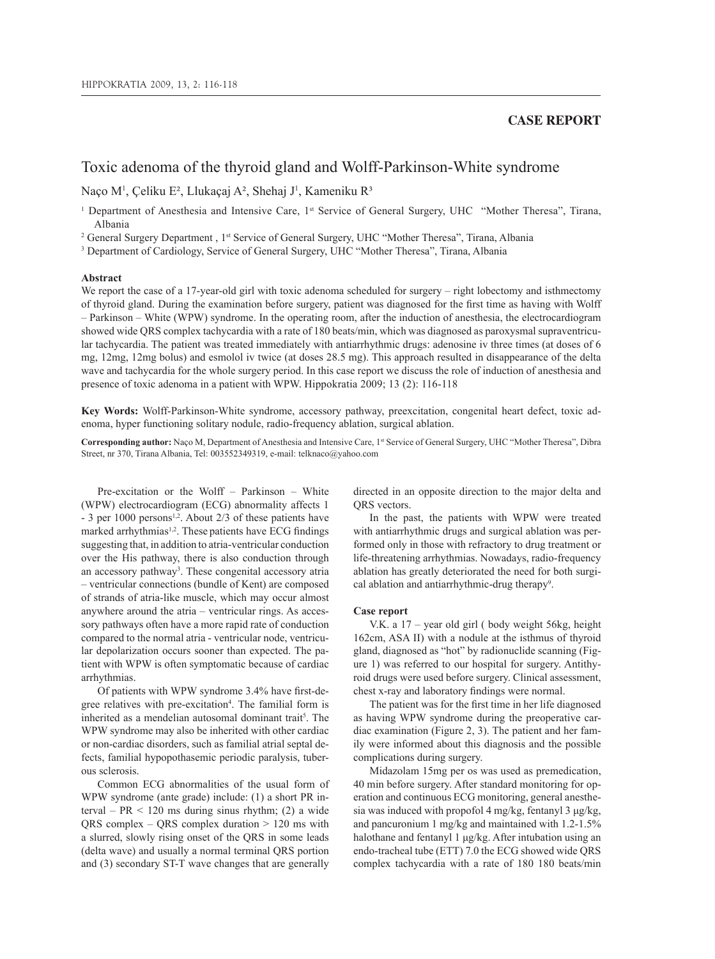## **CASE REPORT**

# Toxic adenoma of the thyroid gland and Wolff-Parkinson-White syndrome

Naço M<sup>1</sup>, Çeliku E<sup>2</sup>, Llukaçaj A<sup>2</sup>, Shehaj J<sup>1</sup>, Kameniku R<sup>3</sup>

<sup>1</sup> Department of Anesthesia and Intensive Care, 1<sup>st</sup> Service of General Surgery, UHC "Mother Theresa", Tirana, Albania

<sup>2</sup> General Surgery Department , 1<sup>st</sup> Service of General Surgery, UHC "Mother Theresa", Tirana, Albania<br><sup>3</sup> Department of Cardiology Service of General Surgery UHC "Mother Theresa" Tirana, Albania

<sup>3</sup> Department of Cardiology, Service of General Surgery, UHC "Mother Theresa", Tirana, Albania

### **Abstract**

We report the case of a 17-year-old girl with toxic adenoma scheduled for surgery – right lobectomy and isthmectomy of thyroid gland. During the examination before surgery, patient was diagnosed for the first time as having with Wolff – Parkinson – White (WPW) syndrome. In the operating room, after the induction of anesthesia, the electrocardiogram showed wide QRS complex tachycardia with a rate of 180 beats/min, which was diagnosed as paroxysmal supraventricular tachycardia. The patient was treated immediately with antiarrhythmic drugs: adenosine iv three times (at doses of 6 mg, 12mg, 12mg bolus) and esmolol iv twice (at doses 28.5 mg). This approach resulted in disappearance of the delta wave and tachycardia for the whole surgery period. In this case report we discuss the role of induction of anesthesia and presence of toxic adenoma in a patient with WPW. Hippokratia 2009; 13 (2): 116-118

**Key Words:** Wolff-Parkinson-White syndrome, accessory pathway, preexcitation, congenital heart defect, toxic adenoma, hyper functioning solitary nodule, radio-frequency ablation, surgical ablation.

**Corresponding author:** Naço M, Department of Anesthesia and Intensive Care, 1st Service of General Surgery, UHC "Mother Theresa", Dibra Street, nr 370, Tirana Albania, Tel: 003552349319, e-mail: telknaco@yahoo.com

Pre-excitation or the Wolff – Parkinson – White (WPW) electrocardiogram (ECG) abnormality affects 1  $-3$  per 1000 persons<sup>1,2</sup>. About 2/3 of these patients have marked arrhythmias<sup>1,2</sup>. These patients have ECG findings suggesting that, in addition to atria-ventricular conduction over the His pathway, there is also conduction through an accessory pathway<sup>3</sup>. These congenital accessory atria – ventricular connections (bundle of Kent) are composed of strands of atria-like muscle, which may occur almost anywhere around the atria – ventricular rings. As accessory pathways often have a more rapid rate of conduction compared to the normal atria - ventricular node, ventricular depolarization occurs sooner than expected. The patient with WPW is often symptomatic because of cardiac arrhythmias.

Of patients with WPW syndrome 3.4% have first-degree relatives with pre-excitation<sup>4</sup>. The familial form is inherited as a mendelian autosomal dominant trait<sup>5</sup>. The WPW syndrome may also be inherited with other cardiac or non-cardiac disorders, such as familial atrial septal defects, familial hypopothasemic periodic paralysis, tuberous sclerosis.

Common ECG abnormalities of the usual form of WPW syndrome (ante grade) include: (1) a short PR interval –  $PR < 120$  ms during sinus rhythm; (2) a wide QRS complex – QRS complex duration > 120 ms with a slurred, slowly rising onset of the QRS in some leads (delta wave) and usually a normal terminal QRS portion and (3) secondary ST-T wave changes that are generally

directed in an opposite direction to the major delta and ORS vectors.

In the past, the patients with WPW were treated with antiarrhythmic drugs and surgical ablation was performed only in those with refractory to drug treatment or life-threatening arrhythmias. Nowadays, radio-frequency ablation has greatly deteriorated the need for both surgical ablation and antiarrhythmic-drug therapy<sup>9</sup>.

#### **Case report**

V.K. a 17 – year old girl ( body weight 56kg, height 162cm, ASA II) with a nodule at the isthmus of thyroid gland, diagnosed as "hot" by radionuclide scanning (Figure 1) was referred to our hospital for surgery. Antithyroid drugs were used before surgery. Clinical assessment, chest x-ray and laboratory findings were normal.

The patient was for the first time in her life diagnosed as having WPW syndrome during the preoperative cardiac examination (Figure 2, 3). The patient and her family were informed about this diagnosis and the possible complications during surgery.

Midazolam 15mg per os was used as premedication, 40 min before surgery. After standard monitoring for operation and continuous ECG monitoring, general anesthesia was induced with propofol 4 mg/kg, fentanyl 3 μg/kg, and pancuronium 1 mg/kg and maintained with 1.2-1.5% halothane and fentanyl 1 μg/kg. After intubation using an endo-tracheal tube (ETT) 7.0 the ECG showed wide QRS complex tachycardia with a rate of 180 180 beats/min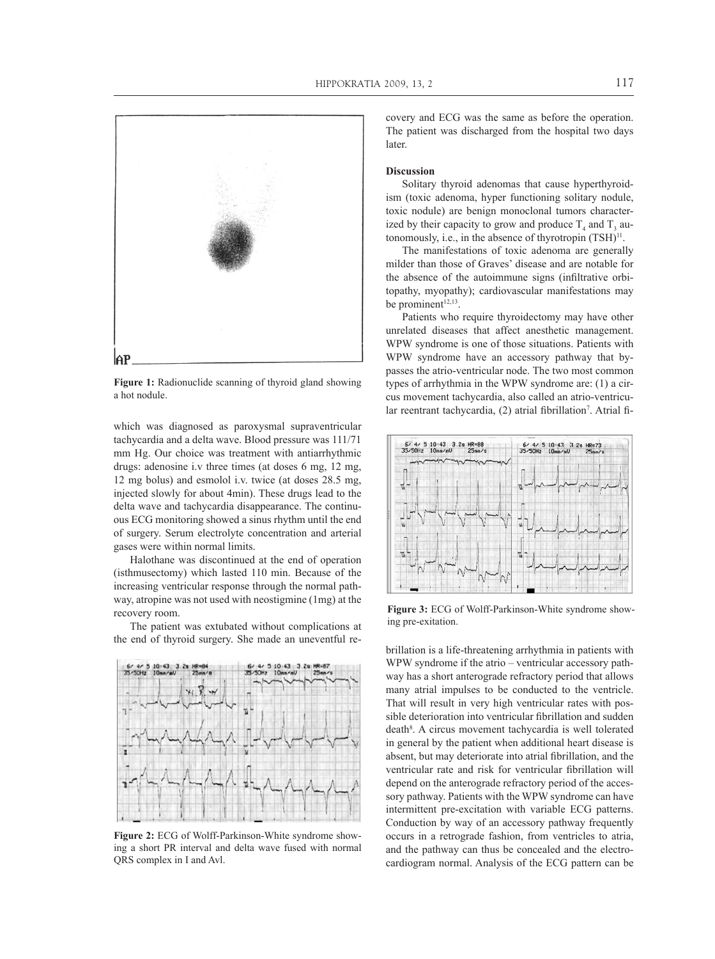

**Figure 1:** Radionuclide scanning of thyroid gland showing a hot nodule.

which was diagnosed as paroxysmal supraventricular tachycardia and a delta wave. Blood pressure was 111/71 mm Hg. Our choice was treatment with antiarrhythmic drugs: adenosine i.v three times (at doses 6 mg, 12 mg, 12 mg bolus) and esmolol i.v. twice (at doses 28.5 mg, injected slowly for about 4min). These drugs lead to the delta wave and tachycardia disappearance. The continuous ECG monitoring showed a sinus rhythm until the end of surgery. Serum electrolyte concentration and arterial gases were within normal limits.

Halothane was discontinued at the end of operation (isthmusectomy) which lasted 110 min. Because of the increasing ventricular response through the normal pathway, atropine was not used with neostigmine (1mg) at the recovery room.

The patient was extubated without complications at the end of thyroid surgery. She made an uneventful re-



**Figure 2:** ECG of Wolff-Parkinson-White syndrome showing a short PR interval and delta wave fused with normal QRS complex in I and Avl.

covery and ECG was the same as before the operation. The patient was discharged from the hospital two days later.

#### **Discussion**

Solitary thyroid adenomas that cause hyperthyroidism (toxic adenoma, hyper functioning solitary nodule, toxic nodule) are benign monoclonal tumors characterized by their capacity to grow and produce  $T_4$  and  $T_3$  autonomously, i.e., in the absence of thyrotropin  $(TSH)^{11}$ .

The manifestations of toxic adenoma are generally milder than those of Graves' disease and are notable for the absence of the autoimmune signs (infiltrative orbitopathy, myopathy); cardiovascular manifestations may be prominent<sup>12,13</sup>.

Patients who require thyroidectomy may have other unrelated diseases that affect anesthetic management. WPW syndrome is one of those situations. Patients with WPW syndrome have an accessory pathway that bypasses the atrio-ventricular node. The two most common types of arrhythmia in the WPW syndrome are: (1) a circus movement tachycardia, also called an atrio-ventricular reentrant tachycardia, (2) atrial fibrillation<sup>7</sup>. Atrial fi-



**Figure 3:** ECG of Wolff-Parkinson-White syndrome showing pre-exitation.

brillation is a life-threatening arrhythmia in patients with WPW syndrome if the atrio – ventricular accessory pathway has a short anterograde refractory period that allows many atrial impulses to be conducted to the ventricle. That will result in very high ventricular rates with possible deterioration into ventricular fibrillation and sudden death<sup>8</sup>. A circus movement tachycardia is well tolerated in general by the patient when additional heart disease is absent, but may deteriorate into atrial fibrillation, and the ventricular rate and risk for ventricular fibrillation will depend on the anterograde refractory period of the accessory pathway. Patients with the WPW syndrome can have intermittent pre-excitation with variable ECG patterns. Conduction by way of an accessory pathway frequently occurs in a retrograde fashion, from ventricles to atria, and the pathway can thus be concealed and the electrocardiogram normal. Analysis of the ECG pattern can be